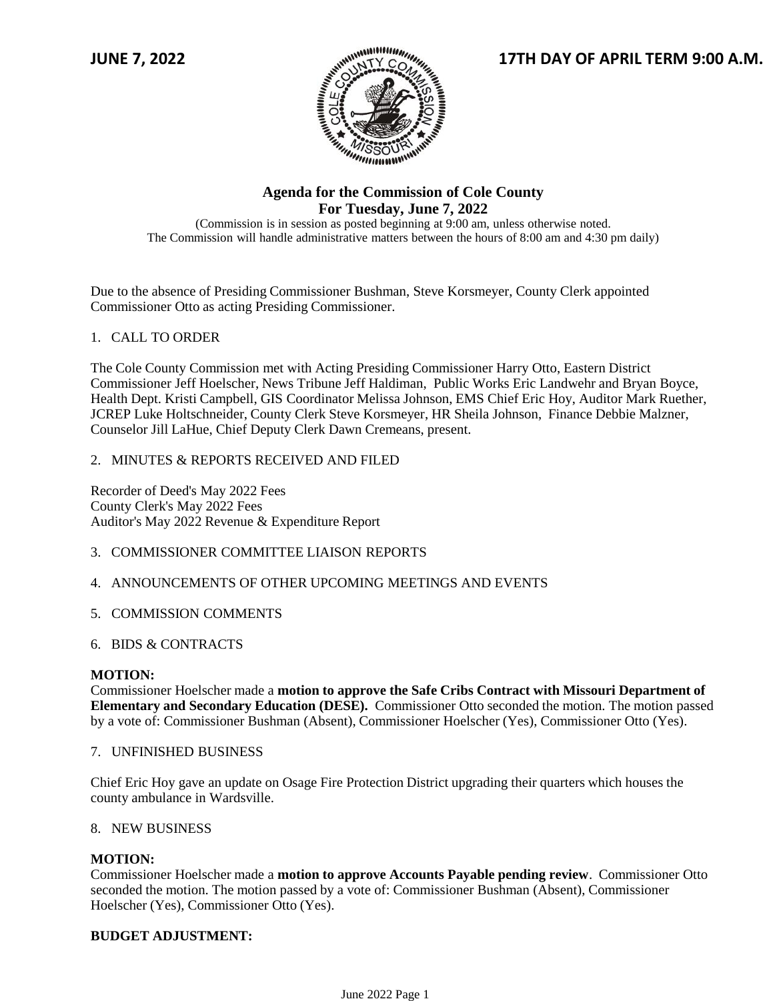

# **Agenda for the Commission of Cole County For Tuesday, June 7, 2022**

(Commission is in session as posted beginning at 9:00 am, unless otherwise noted. The Commission will handle administrative matters between the hours of 8:00 am and 4:30 pm daily)

Due to the absence of Presiding Commissioner Bushman, Steve Korsmeyer, County Clerk appointed Commissioner Otto as acting Presiding Commissioner.

# 1. CALL TO ORDER

The Cole County Commission met with Acting Presiding Commissioner Harry Otto, Eastern District Commissioner Jeff Hoelscher, News Tribune Jeff Haldiman, Public Works Eric Landwehr and Bryan Boyce, Health Dept. Kristi Campbell, GIS Coordinator Melissa Johnson, EMS Chief Eric Hoy, Auditor Mark Ruether, JCREP Luke Holtschneider, County Clerk Steve Korsmeyer, HR Sheila Johnson, Finance Debbie Malzner, Counselor Jill LaHue, Chief Deputy Clerk Dawn Cremeans, present.

### 2. MINUTES & REPORTS RECEIVED AND FILED

Recorder of Deed's May 2022 Fees County Clerk's May 2022 Fees Auditor's May 2022 Revenue & Expenditure Report

- 3. COMMISSIONER COMMITTEE LIAISON REPORTS
- 4. ANNOUNCEMENTS OF OTHER UPCOMING MEETINGS AND EVENTS
- 5. COMMISSION COMMENTS
- 6. BIDS & CONTRACTS

### **MOTION:**

Commissioner Hoelscher made a **motion to approve the Safe Cribs Contract with Missouri Department of Elementary and Secondary Education (DESE).** Commissioner Otto seconded the motion. The motion passed by a vote of: Commissioner Bushman (Absent), Commissioner Hoelscher (Yes), Commissioner Otto (Yes).

7. UNFINISHED BUSINESS

Chief Eric Hoy gave an update on Osage Fire Protection District upgrading their quarters which houses the county ambulance in Wardsville.

#### 8. NEW BUSINESS

#### **MOTION:**

Commissioner Hoelscher made a **motion to approve Accounts Payable pending review**. Commissioner Otto seconded the motion. The motion passed by a vote of: Commissioner Bushman (Absent), Commissioner Hoelscher (Yes), Commissioner Otto (Yes).

### **BUDGET ADJUSTMENT:**